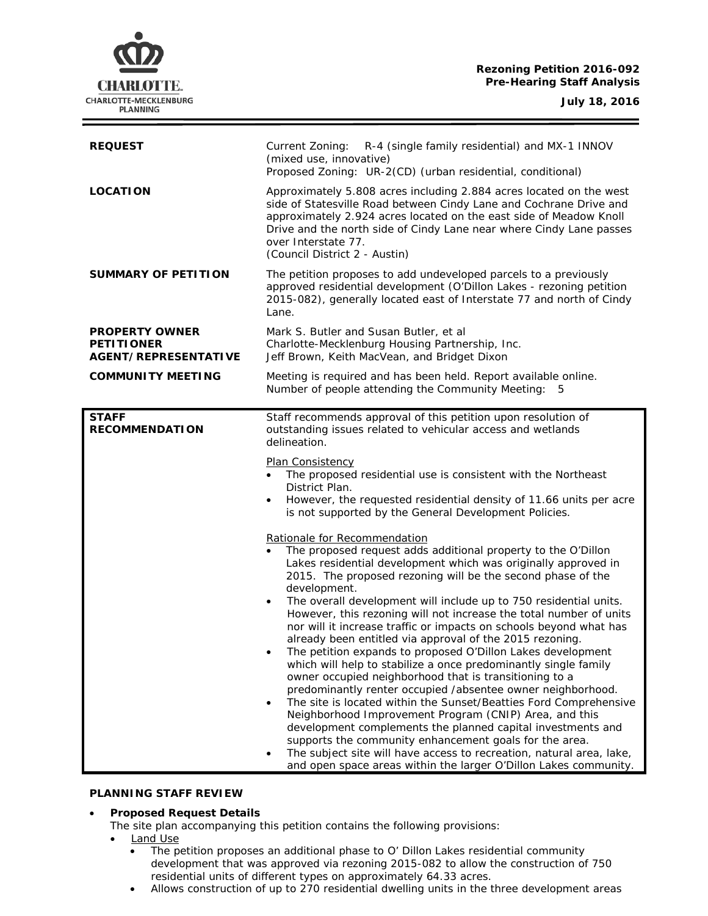# **Rezoning Petition 2016-092 Pre-Hearing Staff Analysis**

**CHARLOTTE.** CHARLOTTE-MECKLENBURG **PLANNING** 

| <b>REQUEST</b>                                                            | Current Zoning: R-4 (single family residential) and MX-1 INNOV<br>(mixed use, innovative)<br>Proposed Zoning: UR-2(CD) (urban residential, conditional)                                                                                                                                                                                                                                                                                                                                                                                                                                                                                                                                                                                                                                                                                                                                                                                                                                                                                                                                                                                                                                                                                                                                                                                                                                                                                                                                                                                                                                                           |
|---------------------------------------------------------------------------|-------------------------------------------------------------------------------------------------------------------------------------------------------------------------------------------------------------------------------------------------------------------------------------------------------------------------------------------------------------------------------------------------------------------------------------------------------------------------------------------------------------------------------------------------------------------------------------------------------------------------------------------------------------------------------------------------------------------------------------------------------------------------------------------------------------------------------------------------------------------------------------------------------------------------------------------------------------------------------------------------------------------------------------------------------------------------------------------------------------------------------------------------------------------------------------------------------------------------------------------------------------------------------------------------------------------------------------------------------------------------------------------------------------------------------------------------------------------------------------------------------------------------------------------------------------------------------------------------------------------|
| <b>LOCATION</b>                                                           | Approximately 5.808 acres including 2.884 acres located on the west<br>side of Statesville Road between Cindy Lane and Cochrane Drive and<br>approximately 2.924 acres located on the east side of Meadow Knoll<br>Drive and the north side of Cindy Lane near where Cindy Lane passes<br>over Interstate 77.<br>(Council District 2 - Austin)                                                                                                                                                                                                                                                                                                                                                                                                                                                                                                                                                                                                                                                                                                                                                                                                                                                                                                                                                                                                                                                                                                                                                                                                                                                                    |
| <b>SUMMARY OF PETITION</b>                                                | The petition proposes to add undeveloped parcels to a previously<br>approved residential development (O'Dillon Lakes - rezoning petition<br>2015-082), generally located east of Interstate 77 and north of Cindy<br>Lane.                                                                                                                                                                                                                                                                                                                                                                                                                                                                                                                                                                                                                                                                                                                                                                                                                                                                                                                                                                                                                                                                                                                                                                                                                                                                                                                                                                                        |
| <b>PROPERTY OWNER</b><br><b>PETITIONER</b><br><b>AGENT/REPRESENTATIVE</b> | Mark S. Butler and Susan Butler, et al<br>Charlotte-Mecklenburg Housing Partnership, Inc.<br>Jeff Brown, Keith MacVean, and Bridget Dixon                                                                                                                                                                                                                                                                                                                                                                                                                                                                                                                                                                                                                                                                                                                                                                                                                                                                                                                                                                                                                                                                                                                                                                                                                                                                                                                                                                                                                                                                         |
| <b>COMMUNITY MEETING</b>                                                  | Meeting is required and has been held. Report available online.<br>Number of people attending the Community Meeting: 5                                                                                                                                                                                                                                                                                                                                                                                                                                                                                                                                                                                                                                                                                                                                                                                                                                                                                                                                                                                                                                                                                                                                                                                                                                                                                                                                                                                                                                                                                            |
| <b>STAFF</b><br><b>RECOMMENDATION</b>                                     | Staff recommends approval of this petition upon resolution of<br>outstanding issues related to vehicular access and wetlands<br>delineation.<br><b>Plan Consistency</b><br>The proposed residential use is consistent with the Northeast<br>District Plan.<br>However, the requested residential density of 11.66 units per acre<br>is not supported by the General Development Policies.<br>Rationale for Recommendation<br>The proposed request adds additional property to the O'Dillon<br>$\bullet$<br>Lakes residential development which was originally approved in<br>2015. The proposed rezoning will be the second phase of the<br>development.<br>The overall development will include up to 750 residential units.<br>$\bullet$<br>However, this rezoning will not increase the total number of units<br>nor will it increase traffic or impacts on schools beyond what has<br>already been entitled via approval of the 2015 rezoning.<br>The petition expands to proposed O'Dillon Lakes development<br>which will help to stabilize a once predominantly single family<br>owner occupied neighborhood that is transitioning to a<br>predominantly renter occupied /absentee owner neighborhood.<br>The site is located within the Sunset/Beatties Ford Comprehensive<br>Neighborhood Improvement Program (CNIP) Area, and this<br>development complements the planned capital investments and<br>supports the community enhancement goals for the area.<br>The subject site will have access to recreation, natural area, lake,<br>and open space areas within the larger O'Dillon Lakes community. |

#### **PLANNING STAFF REVIEW**

### • **Proposed Request Details**

The site plan accompanying this petition contains the following provisions:

- Land Use
	- The petition proposes an additional phase to O' Dillon Lakes residential community development that was approved via rezoning 2015-082 to allow the construction of 750 residential units of different types on approximately 64.33 acres.
	- Allows construction of up to 270 residential dwelling units in the three development areas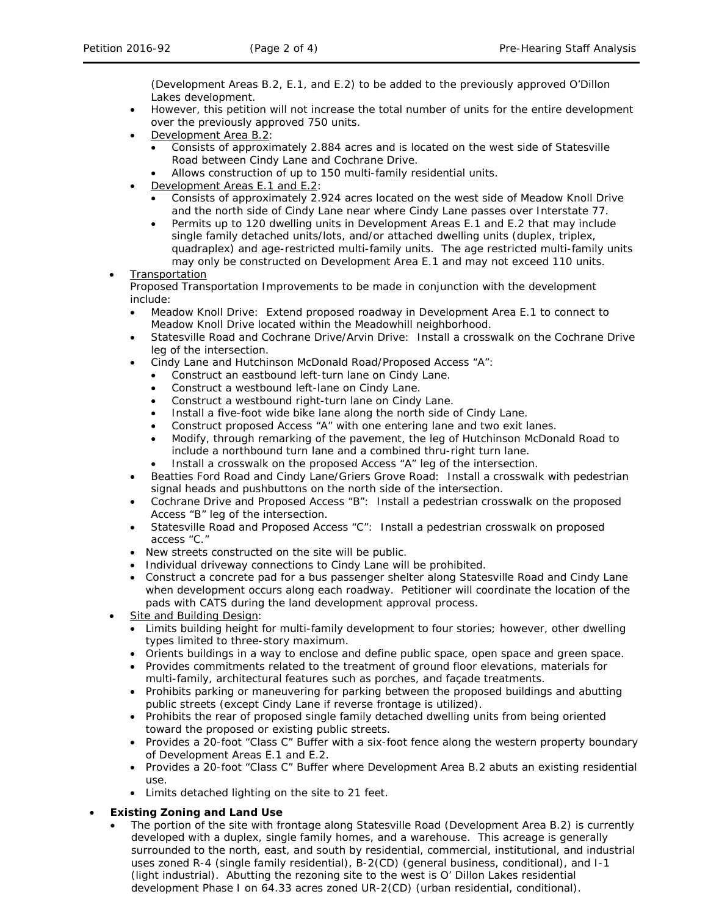(Development Areas B.2, E.1, and E.2) to be added to the previously approved O'Dillon Lakes development.

- However, this petition will not increase the total number of units for the entire development over the previously approved 750 units.
- Development Area B.2:
	- Consists of approximately 2.884 acres and is located on the west side of Statesville Road between Cindy Lane and Cochrane Drive.
	- Allows construction of up to 150 multi-family residential units.
- Development Areas E.1 and E.2:
	- Consists of approximately 2.924 acres located on the west side of Meadow Knoll Drive and the north side of Cindy Lane near where Cindy Lane passes over Interstate 77.
	- Permits up to 120 dwelling units in Development Areas E.1 and E.2 that may include single family detached units/lots, and/or attached dwelling units (duplex, triplex, quadraplex) and age-restricted multi-family units. The age restricted multi-family units may only be constructed on Development Area E.1 and may not exceed 110 units.

# **Transportation**

Proposed Transportation Improvements to be made in conjunction with the development include:

- Meadow Knoll Drive: Extend proposed roadway in Development Area E.1 to connect to Meadow Knoll Drive located within the Meadowhill neighborhood.
- Statesville Road and Cochrane Drive/Arvin Drive: Install a crosswalk on the Cochrane Drive leg of the intersection.
- Cindy Lane and Hutchinson McDonald Road/Proposed Access "A":
- Construct an eastbound left-turn lane on Cindy Lane.
	- Construct a westbound left-lane on Cindy Lane.
	- Construct a westbound right-turn lane on Cindy Lane.
	- Install a five-foot wide bike lane along the north side of Cindy Lane.
	- Construct proposed Access "A" with one entering lane and two exit lanes.
	- Modify, through remarking of the pavement, the leg of Hutchinson McDonald Road to include a northbound turn lane and a combined thru-right turn lane.
	- Install a crosswalk on the proposed Access "A" leg of the intersection.
- Beatties Ford Road and Cindy Lane/Griers Grove Road: Install a crosswalk with pedestrian signal heads and pushbuttons on the north side of the intersection.
- Cochrane Drive and Proposed Access "B": Install a pedestrian crosswalk on the proposed Access "B" leg of the intersection.
- Statesville Road and Proposed Access "C": Install a pedestrian crosswalk on proposed access "C."
- New streets constructed on the site will be public.
- Individual driveway connections to Cindy Lane will be prohibited.
- Construct a concrete pad for a bus passenger shelter along Statesville Road and Cindy Lane when development occurs along each roadway. Petitioner will coordinate the location of the pads with CATS during the land development approval process.
- Site and Building Design:
	- Limits building height for multi-family development to four stories; however, other dwelling types limited to three-story maximum.
	- Orients buildings in a way to enclose and define public space, open space and green space.
	- Provides commitments related to the treatment of ground floor elevations, materials for multi-family, architectural features such as porches, and façade treatments.
	- Prohibits parking or maneuvering for parking between the proposed buildings and abutting public streets (except Cindy Lane if reverse frontage is utilized).
	- Prohibits the rear of proposed single family detached dwelling units from being oriented toward the proposed or existing public streets.
	- Provides a 20-foot "Class C" Buffer with a six-foot fence along the western property boundary of Development Areas E.1 and E.2.
	- Provides a 20-foot "Class C" Buffer where Development Area B.2 abuts an existing residential use.
	- Limits detached lighting on the site to 21 feet.

# • **Existing Zoning and Land Use**

The portion of the site with frontage along Statesville Road (Development Area B.2) is currently developed with a duplex, single family homes, and a warehouse. This acreage is generally surrounded to the north, east, and south by residential, commercial, institutional, and industrial uses zoned R-4 (single family residential), B-2(CD) (general business, conditional), and I-1 (light industrial). Abutting the rezoning site to the west is O' Dillon Lakes residential development Phase I on 64.33 acres zoned UR-2(CD) (urban residential, conditional).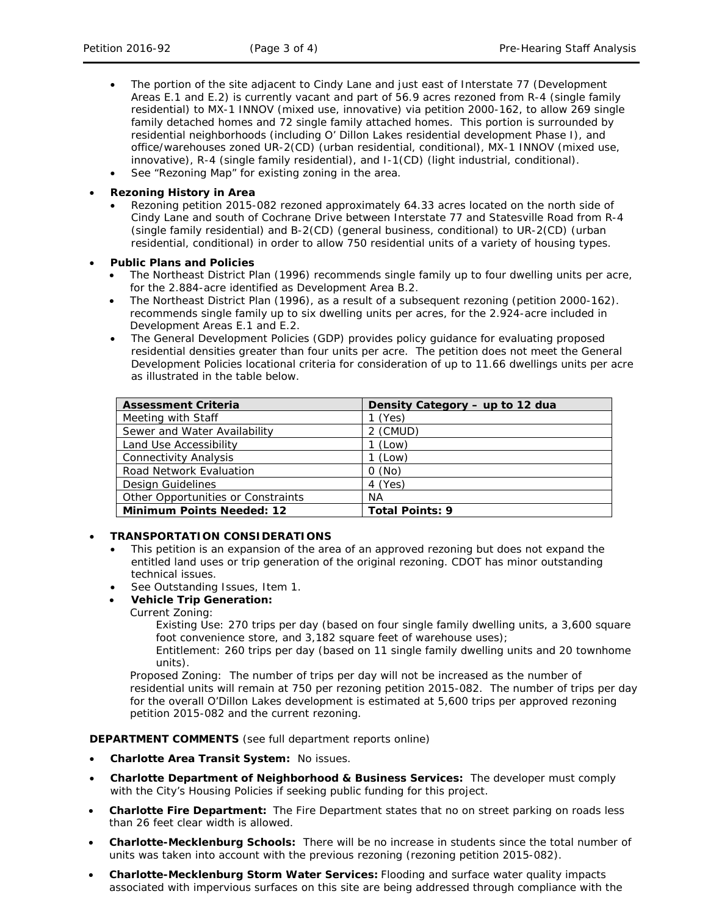- The portion of the site adjacent to Cindy Lane and just east of Interstate 77 (Development Areas E.1 and E.2) is currently vacant and part of 56.9 acres rezoned from R-4 (single family residential) to MX-1 INNOV (mixed use, innovative) via petition 2000-162, to allow 269 single family detached homes and 72 single family attached homes. This portion is surrounded by residential neighborhoods (including O' Dillon Lakes residential development Phase I), and office/warehouses zoned UR-2(CD) (urban residential, conditional), MX-1 INNOV (mixed use, innovative), R-4 (single family residential), and I-1(CD) (light industrial, conditional).
- See "Rezoning Map" for existing zoning in the area.

### • **Rezoning History in Area**

- Rezoning petition 2015-082 rezoned approximately 64.33 acres located on the north side of Cindy Lane and south of Cochrane Drive between Interstate 77 and Statesville Road from R-4 (single family residential) and B-2(CD) (general business, conditional) to UR-2(CD) (urban residential, conditional) in order to allow 750 residential units of a variety of housing types.
- **Public Plans and Policies**
	- The *Northeast District Plan* (1996) recommends single family up to four dwelling units per acre, for the 2.884-acre identified as Development Area B.2.
	- The *Northeast District Plan* (1996), as a result of a subsequent rezoning (petition 2000-162). recommends single family up to six dwelling units per acres, for the 2.924-acre included in Development Areas E.1 and E.2.
	- The *General Development Policies* (GDP) provides policy guidance for evaluating proposed residential densities greater than four units per acre. The petition does not meet the *General Development Policies* locational criteria for consideration of up to 11.66 dwellings units per acre as illustrated in the table below.

| <b>Assessment Criteria</b>         | Density Category - up to 12 dua |
|------------------------------------|---------------------------------|
| Meeting with Staff                 | $1$ (Yes)                       |
| Sewer and Water Availability       | 2 (CMUD)                        |
| Land Use Accessibility             | 1 (Low)                         |
| <b>Connectivity Analysis</b>       | $1$ (Low)                       |
| Road Network Evaluation            | 0(No)                           |
| Design Guidelines                  | 4 (Yes)                         |
| Other Opportunities or Constraints | <b>NA</b>                       |
| <b>Minimum Points Needed: 12</b>   | <b>Total Points: 9</b>          |

# • **TRANSPORTATION CONSIDERATIONS**

- This petition is an expansion of the area of an approved rezoning but does not expand the entitled land uses or trip generation of the original rezoning. CDOT has minor outstanding technical issues.
- See Outstanding Issues, Item 1.

# • **Vehicle Trip Generation:**

Current Zoning:

Existing Use: 270 trips per day (based on four single family dwelling units, a 3,600 square foot convenience store, and 3,182 square feet of warehouse uses);

Entitlement: 260 trips per day (based on 11 single family dwelling units and 20 townhome units).

Proposed Zoning: The number of trips per day will not be increased as the number of residential units will remain at 750 per rezoning petition 2015-082. The number of trips per day for the overall O'Dillon Lakes development is estimated at 5,600 trips per approved rezoning petition 2015-082 and the current rezoning.

**DEPARTMENT COMMENTS** (see full department reports online)

- **Charlotte Area Transit System:** No issues.
- **Charlotte Department of Neighborhood & Business Services:** The developer must comply with the City's Housing Policies if seeking public funding for this project.
- **Charlotte Fire Department:** The Fire Department states that no on street parking on roads less than 26 feet clear width is allowed.
- **Charlotte-Mecklenburg Schools:** There will be no increase in students since the total number of units was taken into account with the previous rezoning (rezoning petition 2015-082).
- **Charlotte-Mecklenburg Storm Water Services:** Flooding and surface water quality impacts associated with impervious surfaces on this site are being addressed through compliance with the